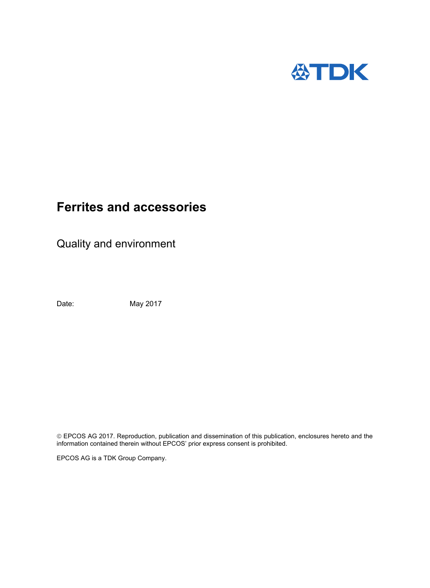

# **Ferrites and accessories**

Quality and environment

Date: May 2017

 EPCOS AG 2017. Reproduction, publication and dissemination of this publication, enclosures hereto and the information contained therein without EPCOS' prior express consent is prohibited.

EPCOS AG is a TDK Group Company.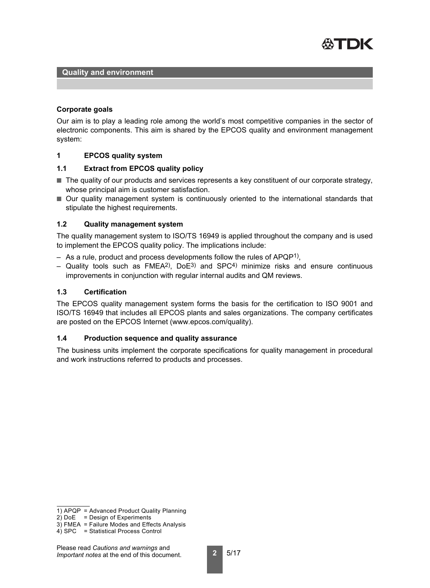

#### **Corporate goals**

Our aim is to play a leading role among the world's most competitive companies in the sector of electronic components. This aim is shared by the EPCOS quality and environment management system:

## **1 EPCOS quality system**

## **1.1 Extract from EPCOS quality policy**

- The quality of our products and services represents a key constituent of our corporate strategy, whose principal aim is customer satisfaction.
- Our quality management system is continuously oriented to the international standards that stipulate the highest requirements.

## **1.2 Quality management system**

The quality management system to ISO/TS 16949 is applied throughout the company and is used to implement the EPCOS quality policy. The implications include:

- $-$  As a rule, product and process developments follow the rules of APQP<sup>1)</sup>,
- Quality tools such as  $FMEA<sup>2</sup>$ , DoE<sup>3</sup>) and SPC<sup>4</sup>) minimize risks and ensure continuous improvements in conjunction with regular internal audits and QM reviews.

## **1.3 Certification**

The EPCOS quality management system forms the basis for the certification to ISO 9001 and ISO/TS 16949 that includes all EPCOS plants and sales organizations. The company certificates are posted on the EPCOS Internet (www.epcos.com/quality).

#### **1.4 Production sequence and quality assurance**

The business units implement the corporate specifications for quality management in procedural and work instructions referred to products and processes.

<sup>1)</sup> APQP = Advanced Product Quality Planning

 $2)$  DoE = Design of Experiments

<sup>3)</sup> FMEA = Failure Modes and Effects Analysis

<sup>4)</sup> SPC = Statistical Process Control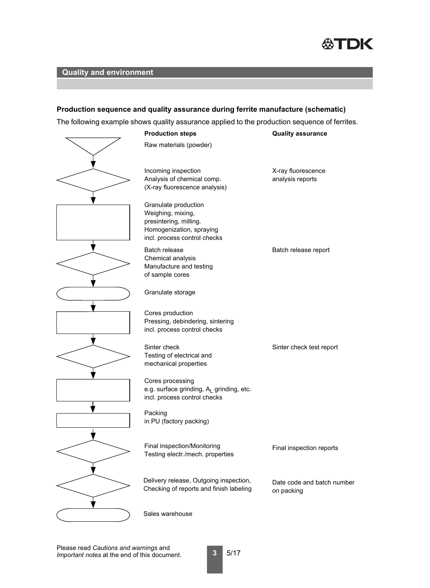

## **Production sequence and quality assurance during ferrite manufacture (schematic)**

The following example shows quality assurance applied to the production sequence of ferrites.

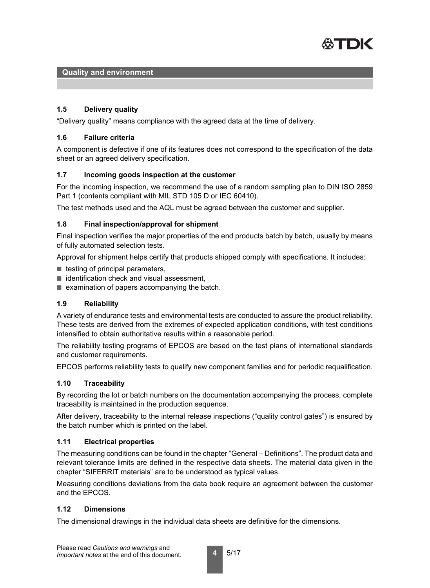

## **1.5 Delivery quality**

"Delivery quality" means compliance with the agreed data at the time of delivery.

## **1.6 Failure criteria**

A component is defective if one of its features does not correspond to the specification of the data sheet or an agreed delivery specification.

## **1.7 Incoming goods inspection at the customer**

For the incoming inspection, we recommend the use of a random sampling plan to DIN ISO 2859 Part 1 (contents compliant with MIL STD 105 D or IEC 60410).

The test methods used and the AQL must be agreed between the customer and supplier.

#### **1.8 Final inspection/approval for shipment**

Final inspection verifies the major properties of the end products batch by batch, usually by means of fully automated selection tests.

Approval for shipment helps certify that products shipped comply with specifications. It includes:

- $\blacksquare$  testing of principal parameters,
- identification check and visual assessment,
- examination of papers accompanying the batch.

## **1.9 Reliability**

A variety of endurance tests and environmental tests are conducted to assure the product reliability. These tests are derived from the extremes of expected application conditions, with test conditions intensified to obtain authoritative results within a reasonable period.

The reliability testing programs of EPCOS are based on the test plans of international standards and customer requirements.

EPCOS performs reliability tests to qualify new component families and for periodic requalification.

#### **1.10 Traceability**

By recording the lot or batch numbers on the documentation accompanying the process, complete traceability is maintained in the production sequence.

After delivery, traceability to the internal release inspections ("quality control gates") is ensured by the batch number which is printed on the label.

## **1.11 Electrical properties**

The measuring conditions can be found in the chapter "General – Definitions". The product data and relevant tolerance limits are defined in the respective data sheets. The material data given in the chapter "SIFERRIT materials" are to be understood as typical values.

Measuring conditions deviations from the data book require an agreement between the customer and the EPCOS.

#### **1.12 Dimensions**

The dimensional drawings in the individual data sheets are definitive for the dimensions.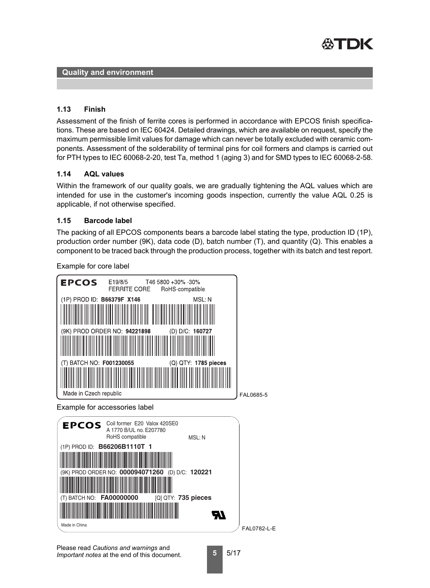

## **1.13 Finish**

Assessment of the finish of ferrite cores is performed in accordance with EPCOS finish specifications. These are based on IEC 60424. Detailed drawings, which are available on request, specify the maximum permissible limit values for damage which can never be totally excluded with ceramic components. Assessment of the solderability of terminal pins for coil formers and clamps is carried out for PTH types to IEC 60068-2-20, test Ta, method 1 (aging 3) and for SMD types to IEC 60068-2-58.

## **1.14 AQL values**

Within the framework of our quality goals, we are gradually tightening the AQL values which are intended for use in the customer's incoming goods inspection, currently the value AQL 0.25 is applicable, if not otherwise specified.

## **1.15 Barcode label**

The packing of all EPCOS components bears a barcode label stating the type, production ID (1P), production order number (9K), data code (D), batch number (T), and quantity (Q). This enables a component to be traced back through the production process, together with its batch and test report.

Example for core label



Example for accessories label

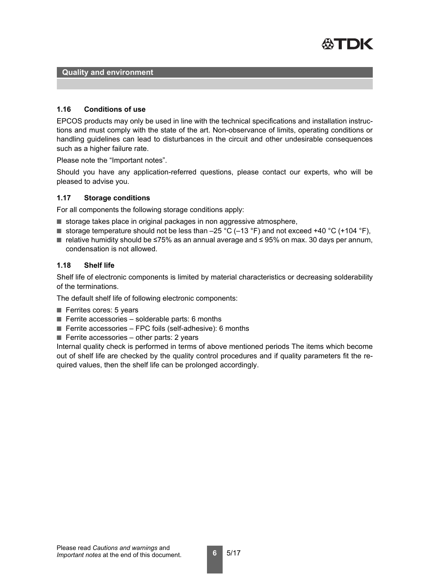

#### **1.16 Conditions of use**

EPCOS products may only be used in line with the technical specifications and installation instructions and must comply with the state of the art. Non-observance of limits, operating conditions or handling guidelines can lead to disturbances in the circuit and other undesirable consequences such as a higher failure rate.

Please note the "Important notes".

Should you have any application-referred questions, please contact our experts, who will be pleased to advise you.

#### **1.17 Storage conditions**

For all components the following storage conditions apply:

- storage takes place in original packages in non aggressive atmosphere,
- **■** storage temperature should not be less than  $-25$  °C ( $-13$  °F) and not exceed +40 °C (+104 °F),
- relative humidity should be ≤75% as an annual average and ≤ 95% on max. 30 days per annum, condensation is not allowed.

#### **1.18 Shelf life**

Shelf life of electronic components is limited by material characteristics or decreasing solderability of the terminations.

The default shelf life of following electronic components:

- Ferrites cores: 5 years
- $\blacksquare$  Ferrite accessories solderable parts: 6 months
- $\blacksquare$  Ferrite accessories FPC foils (self-adhesive): 6 months
- $\blacksquare$  Ferrite accessories other parts: 2 years

Internal quality check is performed in terms of above mentioned periods The items which become out of shelf life are checked by the quality control procedures and if quality parameters fit the required values, then the shelf life can be prolonged accordingly.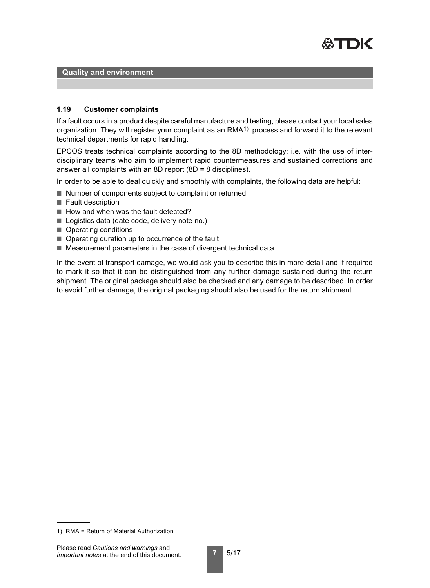

#### **1.19 Customer complaints**

If a fault occurs in a product despite careful manufacture and testing, please contact your local sales organization. They will register your complaint as an RMA<sup>1)</sup> process and forward it to the relevant technical departments for rapid handling.

EPCOS treats technical complaints according to the 8D methodology; i.e. with the use of interdisciplinary teams who aim to implement rapid countermeasures and sustained corrections and answer all complaints with an 8D report (8D = 8 disciplines).

In order to be able to deal quickly and smoothly with complaints, the following data are helpful:

- Number of components subject to complaint or returned
- Fault description
- How and when was the fault detected?
- Logistics data (date code, delivery note no.)
- Operating conditions
- Operating duration up to occurrence of the fault
- Measurement parameters in the case of divergent technical data

In the event of transport damage, we would ask you to describe this in more detail and if required to mark it so that it can be distinguished from any further damage sustained during the return shipment. The original package should also be checked and any damage to be described. In order to avoid further damage, the original packaging should also be used for the return shipment.

<sup>1)</sup> RMA = Return of Material Authorization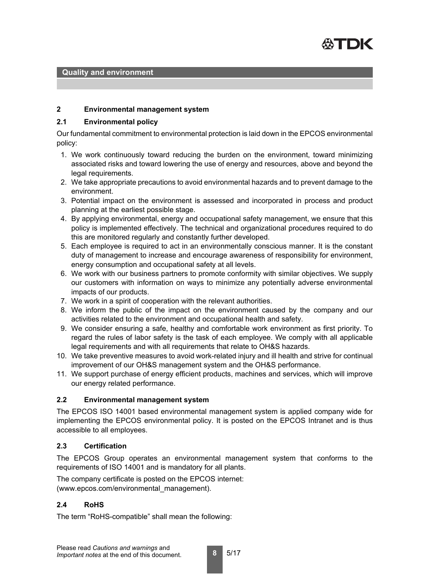

#### **2 Environmental management system**

#### **2.1 Environmental policy**

Our fundamental commitment to environmental protection is laid down in the EPCOS environmental policy:

- 1. We work continuously toward reducing the burden on the environment, toward minimizing associated risks and toward lowering the use of energy and resources, above and beyond the legal requirements.
- 2. We take appropriate precautions to avoid environmental hazards and to prevent damage to the environment.
- 3. Potential impact on the environment is assessed and incorporated in process and product planning at the earliest possible stage.
- 4. By applying environmental, energy and occupational safety management, we ensure that this policy is implemented effectively. The technical and organizational procedures required to do this are monitored regularly and constantly further developed.
- 5. Each employee is required to act in an environmentally conscious manner. It is the constant duty of management to increase and encourage awareness of responsibility for environment, energy consumption and occupational safety at all levels.
- 6. We work with our business partners to promote conformity with similar objectives. We supply our customers with information on ways to minimize any potentially adverse environmental impacts of our products.
- 7. We work in a spirit of cooperation with the relevant authorities.
- 8. We inform the public of the impact on the environment caused by the company and our activities related to the environment and occupational health and safety.
- 9. We consider ensuring a safe, healthy and comfortable work environment as first priority. To regard the rules of labor safety is the task of each employee. We comply with all applicable legal requirements and with all requirements that relate to OH&S hazards.
- 10. We take preventive measures to avoid work-related injury and ill health and strive for continual improvement of our OH&S management system and the OH&S performance.
- 11. We support purchase of energy efficient products, machines and services, which will improve our energy related performance.

#### **2.2 Environmental management system**

The EPCOS ISO 14001 based environmental management system is applied company wide for implementing the EPCOS environmental policy. It is posted on the EPCOS Intranet and is thus accessible to all employees.

#### **2.3 Certification**

The EPCOS Group operates an environmental management system that conforms to the requirements of ISO 14001 and is mandatory for all plants.

The company certificate is posted on the EPCOS internet: (www.epcos.com/environmental\_management).

## **2.4 RoHS**

The term "RoHS-compatible" shall mean the following: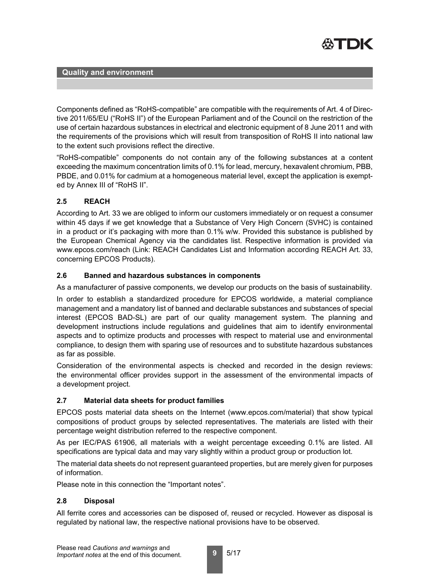

Components defined as "RoHS-compatible" are compatible with the requirements of Art. 4 of Directive 2011/65/EU ("RoHS II") of the European Parliament and of the Council on the restriction of the use of certain hazardous substances in electrical and electronic equipment of 8 June 2011 and with the requirements of the provisions which will result from transposition of RoHS II into national law to the extent such provisions reflect the directive.

"RoHS-compatible" components do not contain any of the following substances at a content exceeding the maximum concentration limits of 0.1% for lead, mercury, hexavalent chromium, PBB, PBDE, and 0.01% for cadmium at a homogeneous material level, except the application is exempted by Annex III of "RoHS II".

# **2.5 REACH**

According to Art. 33 we are obliged to inform our customers immediately or on request a consumer within 45 days if we get knowledge that a Substance of Very High Concern (SVHC) is contained in a product or it's packaging with more than 0.1% w/w. Provided this substance is published by the European Chemical Agency via the candidates list. Respective information is provided via www.epcos.com/reach (Link: REACH Candidates List and Information according REACH Art. 33, concerning EPCOS Products).

# **2.6 Banned and hazardous substances in components**

As a manufacturer of passive components, we develop our products on the basis of sustainability.

In order to establish a standardized procedure for EPCOS worldwide, a material compliance management and a mandatory list of banned and declarable substances and substances of special interest (EPCOS BAD-SL) are part of our quality management system. The planning and development instructions include regulations and guidelines that aim to identify environmental aspects and to optimize products and processes with respect to material use and environmental compliance, to design them with sparing use of resources and to substitute hazardous substances as far as possible.

Consideration of the environmental aspects is checked and recorded in the design reviews: the environmental officer provides support in the assessment of the environmental impacts of a development project.

# **2.7 Material data sheets for product families**

EPCOS posts material data sheets on the Internet (www.epcos.com/material) that show typical compositions of product groups by selected representatives. The materials are listed with their percentage weight distribution referred to the respective component.

As per IEC/PAS 61906, all materials with a weight percentage exceeding 0.1% are listed. All specifications are typical data and may vary slightly within a product group or production lot.

The material data sheets do not represent guaranteed properties, but are merely given for purposes of information.

Please note in this connection the "Important notes".

## **2.8 Disposal**

All ferrite cores and accessories can be disposed of, reused or recycled. However as disposal is regulated by national law, the respective national provisions have to be observed.

**9** 5/17